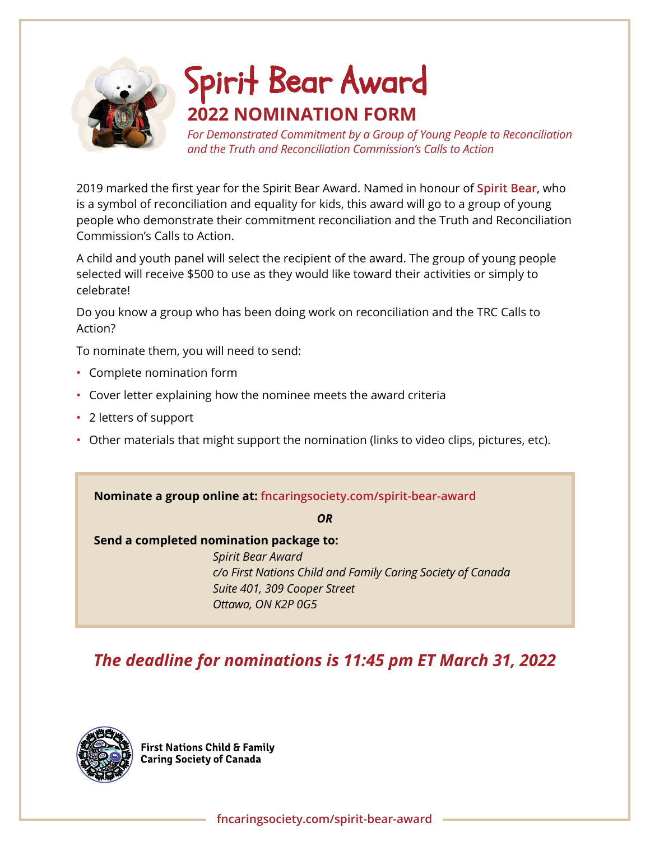

# **2022 NOMINATION FORM** Spirit Bear Award

*For Demonstrated Commitment by a Group of Young People to Reconciliation and the Truth and Reconciliation Commission's Calls to Action* 

2019 marked the first year for the Spirit Bear Award. Named in honour of **[Spirit Bear](https://spiritbearrister.ca)**, who is a symbol of reconciliation and equality for kids, this award will go to a group of young people who demonstrate their commitment reconciliation and the Truth and Reconciliation Commission's Calls to Action.

A child and youth panel will select the recipient of the award. The group of young people selected will receive \$500 to use as they would like toward their activities or simply to celebrate!

Do you know a group who has been doing work on reconciliation and the TRC Calls to Action?

To nominate them, you will need to send:

- Complete nomination form
- Cover letter explaining how the nominee meets the award criteria
- 2 letters of support
- Other materials that might support the nomination (links to video clips, pictures, etc).

**Nominate a group online at: [fncaringsociety.com/spirit-bear-award](https://fncaringsociety.com/spirit-bear-award)**

*OR*

#### **Send a completed nomination package to:**

*Spirit Bear Award c/o First Nations Child and Family Caring Society of Canada Suite 401, 309 Cooper Street Ottawa, ON K2P 0G5*

### *The deadline for nominations is 11:45 pm ET March 31, 2022*



**First Nations Child & Family Caring Society of Canada**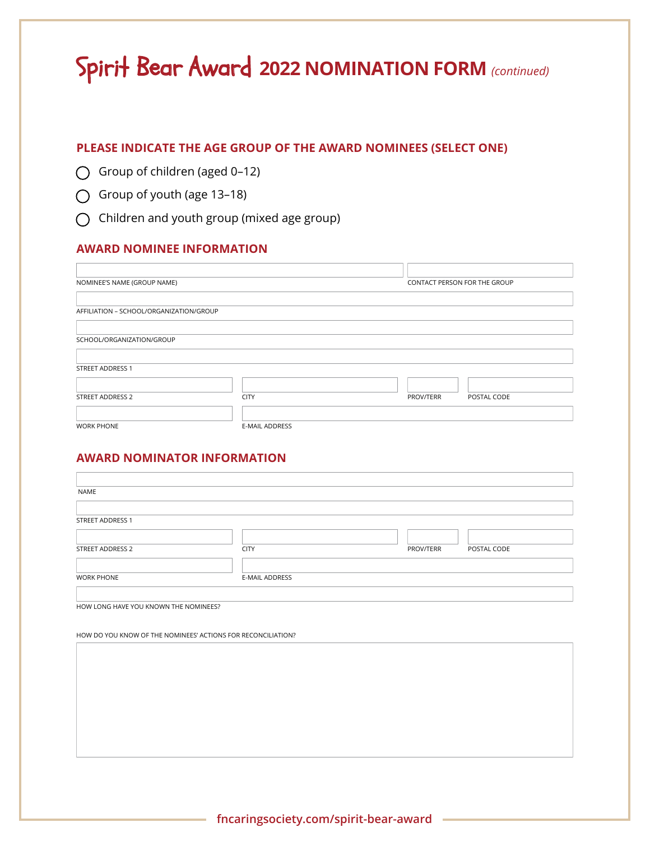## Spirit Bear Award **2022 NOMINATION FORM** *(continued)*

#### **PLEASE INDICATE THE AGE GROUP OF THE AWARD NOMINEES (SELECT ONE)**

- Group of children (aged 0–12)
- Group of youth (age 13–18)
- $\bigcap$  Children and youth group (mixed age group)

#### **AWARD NOMINEE INFORMATION**

| NOMINEE'S NAME (GROUP NAME)             |                | CONTACT PERSON FOR THE GROUP |             |
|-----------------------------------------|----------------|------------------------------|-------------|
|                                         |                |                              |             |
| AFFILIATION - SCHOOL/ORGANIZATION/GROUP |                |                              |             |
|                                         |                |                              |             |
| SCHOOL/ORGANIZATION/GROUP               |                |                              |             |
|                                         |                |                              |             |
| <b>STREET ADDRESS 1</b>                 |                |                              |             |
|                                         |                |                              |             |
| STREET ADDRESS 2                        | <b>CITY</b>    | PROV/TERR                    | POSTAL CODE |
|                                         |                |                              |             |
| <b>WORK PHONE</b>                       | E-MAIL ADDRESS |                              |             |

#### **AWARD NOMINATOR INFORMATION**

| NAME                    |                |           |             |
|-------------------------|----------------|-----------|-------------|
|                         |                |           |             |
| <b>STREET ADDRESS 1</b> |                |           |             |
|                         |                |           |             |
| STREET ADDRESS 2        | <b>CITY</b>    | PROV/TERR | POSTAL CODE |
|                         |                |           |             |
| <b>WORK PHONE</b>       | E-MAIL ADDRESS |           |             |
|                         |                |           |             |

HOW LONG HAVE YOU KNOWN THE NOMINEES?

HOW DO YOU KNOW OF THE NOMINEES' ACTIONS FOR RECONCILIATION?